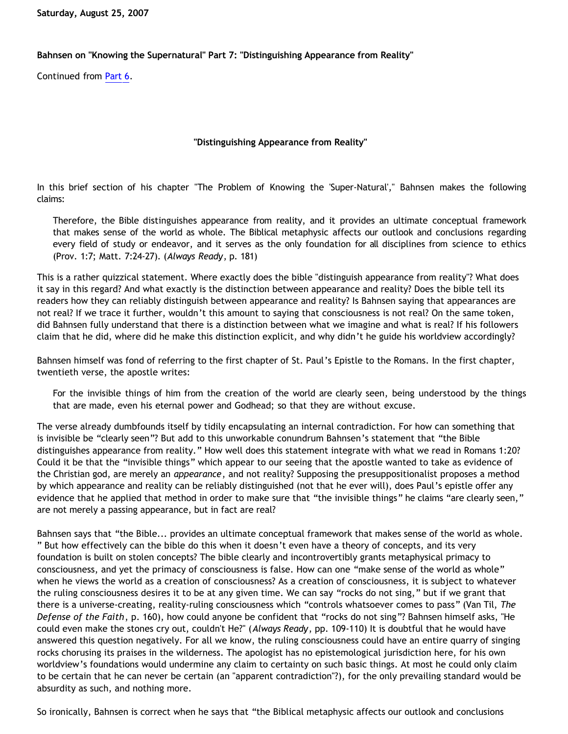**Saturday, August 25, 2007**

## **Bahnsen on "Knowing the Supernatural" Part 7: "Distinguishing Appearance from Reality"**

Continued from [Part 6.](http://bahnsenburner.blogspot.com/2007/08/bahnsen-on-knowing-supernatural-part-6.html)

## **"Distinguishing Appearance from Reality"**

In this brief section of his chapter "The Problem of Knowing the 'Super-Natural'," Bahnsen makes the following claims:

Therefore, the Bible distinguishes appearance from reality, and it provides an ultimate conceptual framework that makes sense of the world as whole. The Biblical metaphysic affects our outlook and conclusions regarding every field of study or endeavor, and it serves as the only foundation for all disciplines from science to ethics (Prov. 1:7; Matt. 7:24-27). (*Always Ready*, p. 181)

This is a rather quizzical statement. Where exactly does the bible "distinguish appearance from reality"? What does it say in this regard? And what exactly is the distinction between appearance and reality? Does the bible tell its readers how they can reliably distinguish between appearance and reality? Is Bahnsen saying that appearances are not real? If we trace it further, wouldn't this amount to saying that consciousness is not real? On the same token, did Bahnsen fully understand that there is a distinction between what we imagine and what is real? If his followers claim that he did, where did he make this distinction explicit, and why didn't he guide his worldview accordingly?

Bahnsen himself was fond of referring to the first chapter of St. Paul's Epistle to the Romans. In the first chapter, twentieth verse, the apostle writes:

For the invisible things of him from the creation of the world are clearly seen, being understood by the things that are made, even his eternal power and Godhead; so that they are without excuse.

The verse already dumbfounds itself by tidily encapsulating an internal contradiction. For how can something that is invisible be "clearly seen"? But add to this unworkable conundrum Bahnsen's statement that "the Bible distinguishes appearance from reality." How well does this statement integrate with what we read in Romans 1:20? Could it be that the "invisible things" which appear to our seeing that the apostle wanted to take as evidence of the Christian god, are merely an *appearance*, and not reality? Supposing the presuppositionalist proposes a method by which appearance and reality can be reliably distinguished (not that he ever will), does Paul's epistle offer any evidence that he applied that method in order to make sure that "the invisible things" he claims "are clearly seen," are not merely a passing appearance, but in fact are real?

Bahnsen says that "the Bible... provides an ultimate conceptual framework that makes sense of the world as whole. " But how effectively can the bible do this when it doesn't even have a theory of concepts, and its very foundation is built on stolen concepts? The bible clearly and incontrovertibly grants metaphysical primacy to consciousness, and yet the primacy of consciousness is false. How can one "make sense of the world as whole" when he views the world as a creation of consciousness? As a creation of consciousness, it is subject to whatever the ruling consciousness desires it to be at any given time. We can say "rocks do not sing," but if we grant that there is a universe-creating, reality-ruling consciousness which "controls whatsoever comes to pass" (Van Til, *The Defense of the Faith*, p. 160), how could anyone be confident that "rocks do not sing"? Bahnsen himself asks, "He could even make the stones cry out, couldn't He?" (*Always Ready*, pp. 109-110) It is doubtful that he would have answered this question negatively. For all we know, the ruling consciousness could have an entire quarry of singing rocks chorusing its praises in the wilderness. The apologist has no epistemological jurisdiction here, for his own worldview's foundations would undermine any claim to certainty on such basic things. At most he could only claim to be certain that he can never be certain (an "apparent contradiction"?), for the only prevailing standard would be absurdity as such, and nothing more.

So ironically, Bahnsen is correct when he says that "the Biblical metaphysic affects our outlook and conclusions